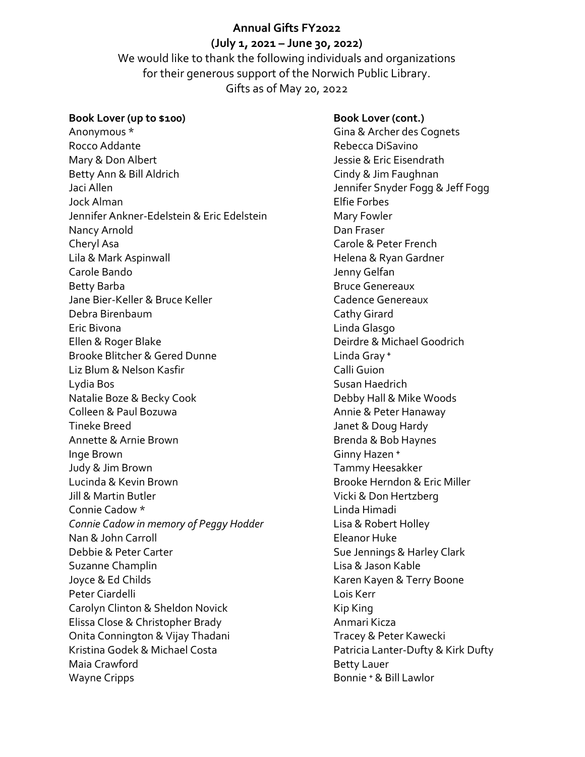# Annual Gifts FY2022

## (July 1, 2021 – June 30, 2022)

We would like to thank the following individuals and organizations for their generous support of the Norwich Public Library. Gifts as of May 20, 2022

#### Book Lover (up to \$100)

Anonymous \* Rocco Addante Mary & Don Albert Betty Ann & Bill Aldrich Jaci Allen Jock Alman Jennifer Ankner-Edelstein & Eric Edelstein Nancy Arnold Cheryl Asa Lila & Mark Aspinwall Carole Bando Betty Barba Jane Bier-Keller & Bruce Keller Debra Birenbaum Eric Bivona Ellen & Roger Blake Brooke Blitcher & Gered Dunne Liz Blum & Nelson Kasfir Lydia Bos Natalie Boze & Becky Cook Colleen & Paul Bozuwa Tineke Breed Annette & Arnie Brown Inge Brown Judy & Jim Brown Lucinda & Kevin Brown Jill & Martin Butler Connie Cadow \* Connie Cadow in memory of Peggy Hodder Nan & John Carroll Debbie & Peter Carter Suzanne Champlin Joyce & Ed Childs Peter Ciardelli Carolyn Clinton & Sheldon Novick Elissa Close & Christopher Brady Onita Connington & Vijay Thadani Kristina Godek & Michael Costa Maia Crawford Wayne Cripps

Book Lover (cont.) Gina & Archer des Cognets Rebecca DiSavino Jessie & Eric Eisendrath Cindy & Jim Faughnan Jennifer Snyder Fogg & Jeff Fogg Elfie Forbes Mary Fowler Dan Fraser Carole & Peter French Helena & Ryan Gardner Jenny Gelfan Bruce Genereaux Cadence Genereaux Cathy Girard Linda Glasgo Deirdre & Michael Goodrich Linda Grav<sup>+</sup> Calli Guion Susan Haedrich Debby Hall & Mike Woods Annie & Peter Hanaway Janet & Doug Hardy Brenda & Bob Haynes Ginny Hazen<sup>+</sup> Tammy Heesakker Brooke Herndon & Eric Miller Vicki & Don Hertzberg Linda Himadi Lisa & Robert Holley Eleanor Huke Sue Jennings & Harley Clark Lisa & Jason Kable Karen Kayen & Terry Boone Lois Kerr Kip King Anmari Kicza Tracey & Peter Kawecki Patricia Lanter-Dufty & Kirk Dufty Betty Lauer Bonnie ⁺ & Bill Lawlor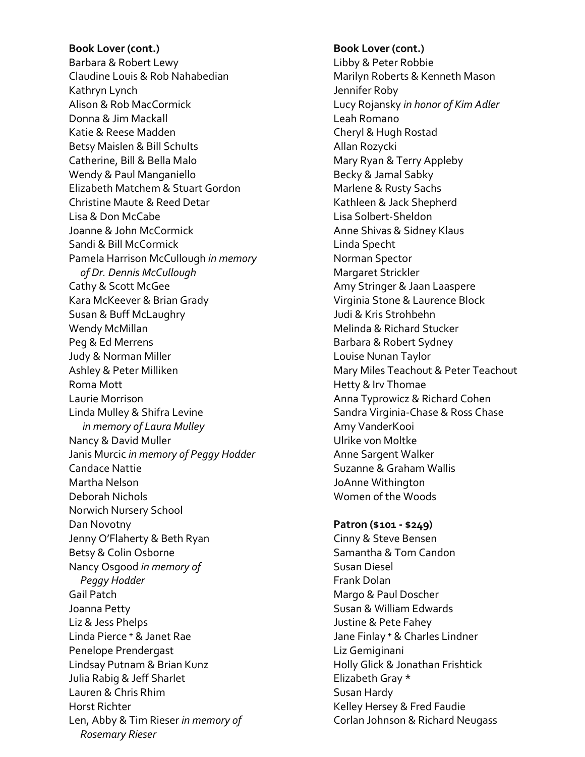Book Lover (cont.) Barbara & Robert Lewy Claudine Louis & Rob Nahabedian Kathryn Lynch Alison & Rob MacCormick Donna & Jim Mackall Katie & Reese Madden Betsy Maislen & Bill Schults Catherine, Bill & Bella Malo Wendy & Paul Manganiello Elizabeth Matchem & Stuart Gordon Christine Maute & Reed Detar Lisa & Don McCabe Joanne & John McCormick Sandi & Bill McCormick Pamela Harrison McCullough in memory of Dr. Dennis McCullough Cathy & Scott McGee Kara McKeever & Brian Grady Susan & Buff McLaughry Wendy McMillan Peg & Ed Merrens Judy & Norman Miller Ashley & Peter Milliken Roma Mott Laurie Morrison Linda Mulley & Shifra Levine in memory of Laura Mulley Nancy & David Muller Janis Murcic in memory of Peggy Hodder Candace Nattie Martha Nelson Deborah Nichols Norwich Nursery School Dan Novotny Jenny O'Flaherty & Beth Ryan Betsy & Colin Osborne Nancy Osgood in memory of Peggy Hodder Gail Patch Joanna Petty Liz & Jess Phelps Linda Pierce ⁺ & Janet Rae Penelope Prendergast Lindsay Putnam & Brian Kunz Julia Rabig & Jeff Sharlet Lauren & Chris Rhim Horst Richter Len, Abby & Tim Rieser in memory of Rosemary Rieser

Book Lover (cont.) Libby & Peter Robbie Marilyn Roberts & Kenneth Mason Jennifer Roby Lucy Rojansky in honor of Kim Adler Leah Romano Cheryl & Hugh Rostad Allan Rozycki Mary Ryan & Terry Appleby Becky & Jamal Sabky Marlene & Rusty Sachs Kathleen & Jack Shepherd Lisa Solbert-Sheldon Anne Shivas & Sidney Klaus Linda Specht Norman Spector Margaret Strickler Amy Stringer & Jaan Laaspere Virginia Stone & Laurence Block Judi & Kris Strohbehn Melinda & Richard Stucker Barbara & Robert Sydney Louise Nunan Taylor Mary Miles Teachout & Peter Teachout Hetty & Irv Thomae Anna Typrowicz & Richard Cohen Sandra Virginia-Chase & Ross Chase Amy VanderKooi Ulrike von Moltke Anne Sargent Walker Suzanne & Graham Wallis JoAnne Withington Women of the Woods

Patron (\$101 - \$249)

Cinny & Steve Bensen Samantha & Tom Candon Susan Diesel Frank Dolan Margo & Paul Doscher Susan & William Edwards Justine & Pete Fahey Jane Finlay + & Charles Lindner Liz Gemiginani Holly Glick & Jonathan Frishtick Elizabeth Gray \* Susan Hardy Kelley Hersey & Fred Faudie Corlan Johnson & Richard Neugass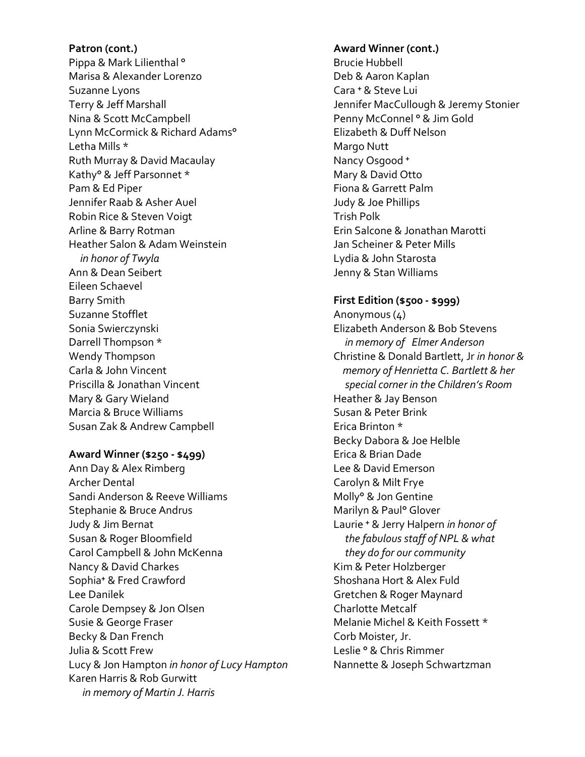Patron (cont.) Pippa & Mark Lilienthal ° Marisa & Alexander Lorenzo Suzanne Lyons Terry & Jeff Marshall Nina & Scott McCampbell Lynn McCormick & Richard Adams° Letha Mills \* Ruth Murray & David Macaulay Kathy° & Jeff Parsonnet \* Pam & Ed Piper Jennifer Raab & Asher Auel Robin Rice & Steven Voigt Arline & Barry Rotman Heather Salon & Adam Weinstein in honor of Twyla Ann & Dean Seibert Eileen Schaevel Barry Smith Suzanne Stofflet Sonia Swierczynski Darrell Thompson \* Wendy Thompson Carla & John Vincent Priscilla & Jonathan Vincent Mary & Gary Wieland Marcia & Bruce Williams Susan Zak & Andrew Campbell

#### Award Winner (\$250 - \$499)

Ann Day & Alex Rimberg Archer Dental Sandi Anderson & Reeve Williams Stephanie & Bruce Andrus Judy & Jim Bernat Susan & Roger Bloomfield Carol Campbell & John McKenna Nancy & David Charkes Sophia<sup>+</sup> & Fred Crawford Lee Danilek Carole Dempsey & Jon Olsen Susie & George Fraser Becky & Dan French Julia & Scott Frew Lucy & Jon Hampton in honor of Lucy Hampton Karen Harris & Rob Gurwitt in memory of Martin J. Harris

# Award Winner (cont.) Brucie Hubbell Deb & Aaron Kaplan Cara + & Steve Lui Jennifer MacCullough & Jeremy Stonier Penny McConnel ° & Jim Gold Elizabeth & Duff Nelson Margo Nutt Nancy Osgood + Mary & David Otto Fiona & Garrett Palm Judy & Joe Phillips Trish Polk Erin Salcone & Jonathan Marotti Jan Scheiner & Peter Mills Lydia & John Starosta Jenny & Stan Williams

### First Edition (\$500 - \$999)

Anonymous (4) Elizabeth Anderson & Bob Stevens in memory of Elmer Anderson Christine & Donald Bartlett, Jr in honor & memory of Henrietta C. Bartlett & her special corner in the Children's Room Heather & Jay Benson Susan & Peter Brink Erica Brinton \* Becky Dabora & Joe Helble Erica & Brian Dade Lee & David Emerson Carolyn & Milt Frye Molly° & Jon Gentine Marilyn & Paul° Glover Laurie + & Jerry Halpern in honor of the fabulous staff of NPL & what they do for our community Kim & Peter Holzberger Shoshana Hort & Alex Fuld Gretchen & Roger Maynard Charlotte Metcalf Melanie Michel & Keith Fossett \* Corb Moister, Jr. Leslie ° & Chris Rimmer Nannette & Joseph Schwartzman